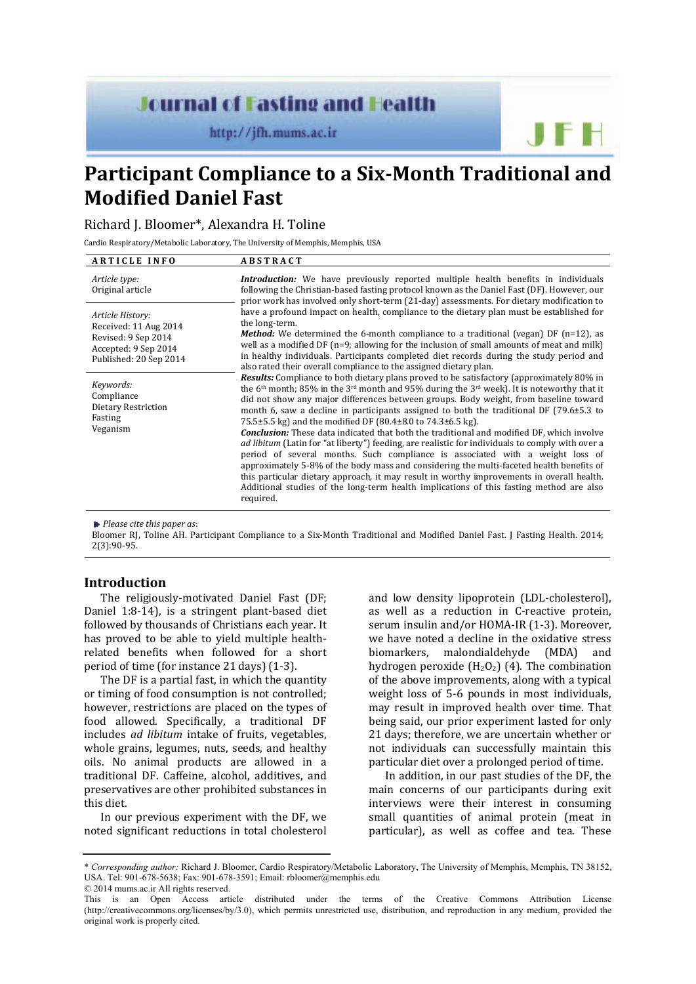# **Journal of Fasting and Health**

http://jfh.mums.ac.ir

**Participant Compliance to a Six-Month Traditional and Modified Daniel Fast** 

Richard J. Bloomer\*, Alexandra H. Toline

Cardio Respiratory/Metabolic Laboratory, The University of Memphis, Memphis, USA

| <b>ARTICLE INFO</b>                                                                                                | <b>ABSTRACT</b>                                                                                                                                                                                                                                                                                                                                                                                                                                                                                                                                                                                                                                                                                                                                                                                                                                                                                                                                                                                                                                                                                                                                                                                                                                                                                                                                                                                                                                                                                                                                                                                                                                                                                                                                                                                                                                          |
|--------------------------------------------------------------------------------------------------------------------|----------------------------------------------------------------------------------------------------------------------------------------------------------------------------------------------------------------------------------------------------------------------------------------------------------------------------------------------------------------------------------------------------------------------------------------------------------------------------------------------------------------------------------------------------------------------------------------------------------------------------------------------------------------------------------------------------------------------------------------------------------------------------------------------------------------------------------------------------------------------------------------------------------------------------------------------------------------------------------------------------------------------------------------------------------------------------------------------------------------------------------------------------------------------------------------------------------------------------------------------------------------------------------------------------------------------------------------------------------------------------------------------------------------------------------------------------------------------------------------------------------------------------------------------------------------------------------------------------------------------------------------------------------------------------------------------------------------------------------------------------------------------------------------------------------------------------------------------------------|
| Article type:<br>Original article                                                                                  | <b>Introduction:</b> We have previously reported multiple health benefits in individuals<br>following the Christian-based fasting protocol known as the Daniel Fast (DF). However, our<br>prior work has involved only short-term (21-day) assessments. For dietary modification to<br>have a profound impact on health, compliance to the dietary plan must be established for<br>the long-term.<br><b>Method:</b> We determined the 6-month compliance to a traditional (vegan) DF $(n=12)$ , as<br>well as a modified DF $(n=9;$ allowing for the inclusion of small amounts of meat and milk)<br>in healthy individuals. Participants completed diet records during the study period and<br>also rated their overall compliance to the assigned dietary plan.<br><b>Results:</b> Compliance to both dietary plans proved to be satisfactory (approximately 80% in<br>the 6 <sup>th</sup> month; 85% in the 3 <sup>rd</sup> month and 95% during the 3 <sup>rd</sup> week). It is noteworthy that it<br>did not show any major differences between groups. Body weight, from baseline toward<br>month 6, saw a decline in participants assigned to both the traditional DF $(79.6\pm5.3)$ to<br>75.5±5.5 kg) and the modified DF (80.4±8.0 to 74.3±6.5 kg).<br><b>Conclusion:</b> These data indicated that both the traditional and modified DF, which involve<br>ad libitum (Latin for "at liberty") feeding, are realistic for individuals to comply with over a<br>period of several months. Such compliance is associated with a weight loss of<br>approximately 5-8% of the body mass and considering the multi-faceted health benefits of<br>this particular dietary approach, it may result in worthy improvements in overall health.<br>Additional studies of the long-term health implications of this fasting method are also<br>required. |
| Article History:<br>Received: 11 Aug 2014<br>Revised: 9 Sep 2014<br>Accepted: 9 Sep 2014<br>Published: 20 Sep 2014 |                                                                                                                                                                                                                                                                                                                                                                                                                                                                                                                                                                                                                                                                                                                                                                                                                                                                                                                                                                                                                                                                                                                                                                                                                                                                                                                                                                                                                                                                                                                                                                                                                                                                                                                                                                                                                                                          |
| Keywords:<br>Compliance<br>Dietary Restriction<br>Fasting<br>Veganism                                              |                                                                                                                                                                                                                                                                                                                                                                                                                                                                                                                                                                                                                                                                                                                                                                                                                                                                                                                                                                                                                                                                                                                                                                                                                                                                                                                                                                                                                                                                                                                                                                                                                                                                                                                                                                                                                                                          |
|                                                                                                                    |                                                                                                                                                                                                                                                                                                                                                                                                                                                                                                                                                                                                                                                                                                                                                                                                                                                                                                                                                                                                                                                                                                                                                                                                                                                                                                                                                                                                                                                                                                                                                                                                                                                                                                                                                                                                                                                          |

*Please cite this paper as*:

Bloomer RJ, Toline AH. Participant Compliance to a Six-Month Traditional and Modified Daniel Fast. J Fasting Health. 2014; 2(3):90-95.

## **Introduction**

The religiously-motivated Daniel Fast (DF; Daniel 1:8-14), is a stringent plant-based diet followed by thousands of Christians each year. It has proved to be able to yield multiple healthrelated benefits when followed for a short period of time (for instance 21 days) (1-3).

The DF is a partial fast, in which the quantity or timing of food consumption is not controlled; however, restrictions are placed on the types of food allowed. Specifically, a traditional DF includes *ad libitum* intake of fruits, vegetables, whole grains, legumes, nuts, seeds, and healthy oils. No animal products are allowed in a traditional DF. Caffeine, alcohol, additives, and preservatives are other prohibited substances in this diet.

In our previous experiment with the DF, we noted significant reductions in total cholesterol and low density lipoprotein (LDL-cholesterol), as well as a reduction in C-reactive protein, serum insulin and/or HOMA-IR (1-3). Moreover, we have noted a decline in the oxidative stress biomarkers, malondialdehyde (MDA) and hydrogen peroxide  $(H_2O_2)$  (4). The combination of the above improvements, along with a typical weight loss of 5-6 pounds in most individuals, may result in improved health over time. That being said, our prior experiment lasted for only 21 days; therefore, we are uncertain whether or not individuals can successfully maintain this particular diet over a prolonged period of time.

In addition, in our past studies of the DF, the main concerns of our participants during exit interviews were their interest in consuming small quantities of animal protein (meat in particular), as well as coffee and tea. These

<sup>\*</sup> *Corresponding author:* Richard J. Bloomer, Cardio Respiratory/Metabolic Laboratory, The University of Memphis, Memphis, TN 38152, USA. Tel: 901-678-5638; Fax: 901-678-3591; Email: rbloomer@memphis.edu © 2014 mums.ac.ir All rights reserved.

This is an Open Access article distributed under the terms of the Creative Commons Attribution License (http://creativecommons.org/licenses/by/3.0), which permits unrestricted use, distribution, and reproduction in any medium, provided the original work is properly cited.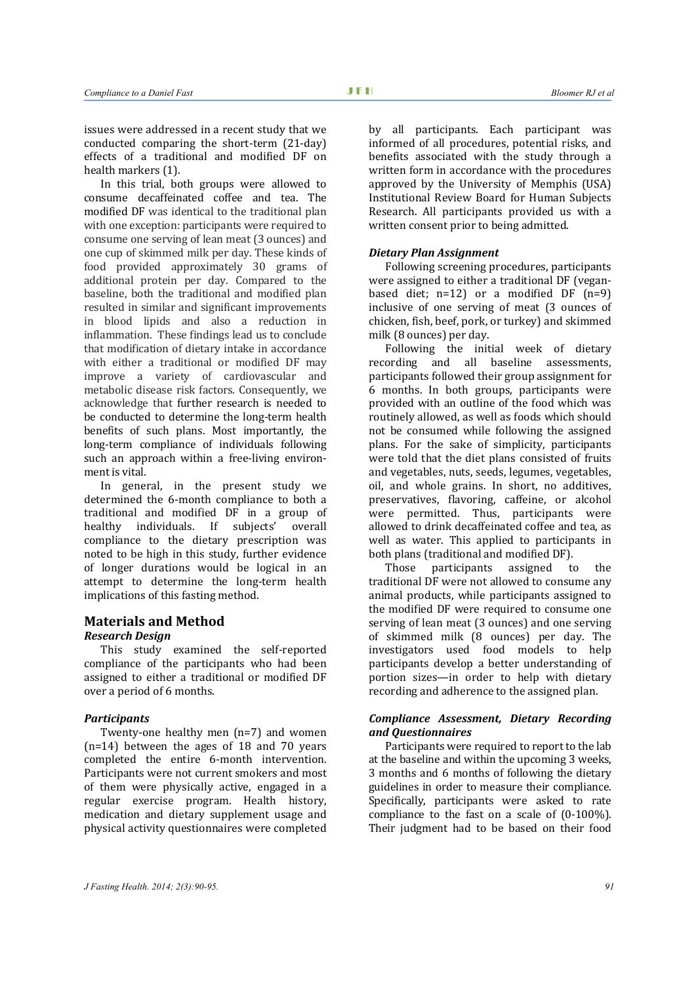issues were addressed in a recent study that we conducted comparing the short-term (21-day) effects of a traditional and modified DF on health markers (1).

In this trial, both groups were allowed to consume decaffeinated coffee and tea. The modified DF was identical to the traditional plan with one exception: participants were required to consume one serving of lean meat (3 ounces) and one cup of skimmed milk per day. These kinds of food provided approximately 30 grams of additional protein per day. Compared to the baseline, both the traditional and modified plan resulted in similar and significant improvements in blood lipids and also a reduction in inflammation. These findings lead us to conclude that modification of dietary intake in accordance with either a traditional or modified DF may improve a variety of cardiovascular and metabolic disease risk factors. Consequently, we acknowledge that further research is needed to be conducted to determine the long-term health benefits of such plans. Most importantly, the long-term compliance of individuals following such an approach within a free-living environment is vital.

In general, in the present study we determined the 6-month compliance to both a traditional and modified DF in a group of healthy individuals. If subjects' overall compliance to the dietary prescription was noted to be high in this study, further evidence of longer durations would be logical in an attempt to determine the long-term health implications of this fasting method.

#### **Materials and Method**

#### *Research Design*

This study examined the self-reported compliance of the participants who had been assigned to either a traditional or modified DF over a period of 6 months.

#### *Participants*

Twenty-one healthy men (n=7) and women (n=14) between the ages of 18 and 70 years completed the entire 6-month intervention. Participants were not current smokers and most of them were physically active, engaged in a regular exercise program. Health history, medication and dietary supplement usage and physical activity questionnaires were completed

by all participants. Each participant was informed of all procedures, potential risks, and benefits associated with the study through a written form in accordance with the procedures approved by the University of Memphis (USA) Institutional Review Board for Human Subjects Research. All participants provided us with a written consent prior to being admitted.

#### *Dietary Plan Assignment*

Following screening procedures, participants were assigned to either a traditional DF (veganbased diet;  $n=12$ ) or a modified DF  $(n=9)$ inclusive of one serving of meat (3 ounces of chicken, fish, beef, pork, or turkey) and skimmed milk (8 ounces) per day.

Following the initial week of dietary recording and all baseline assessments, participants followed their group assignment for 6 months. In both groups, participants were provided with an outline of the food which was routinely allowed, as well as foods which should not be consumed while following the assigned plans. For the sake of simplicity, participants were told that the diet plans consisted of fruits and vegetables, nuts, seeds, legumes, vegetables, oil, and whole grains. In short, no additives, preservatives, flavoring, caffeine, or alcohol were permitted. Thus, participants were allowed to drink decaffeinated coffee and tea, as well as water. This applied to participants in both plans (traditional and modified DF).

Those participants assigned to the traditional DF were not allowed to consume any animal products, while participants assigned to the modified DF were required to consume one serving of lean meat (3 ounces) and one serving of skimmed milk (8 ounces) per day. The investigators used food models to help participants develop a better understanding of portion sizes—in order to help with dietary recording and adherence to the assigned plan.

#### *Compliance Assessment, Dietary Recording and Questionnaires*

Participants were required to report to the lab at the baseline and within the upcoming 3 weeks, 3 months and 6 months of following the dietary guidelines in order to measure their compliance. Specifically, participants were asked to rate compliance to the fast on a scale of (0-100%). Their judgment had to be based on their food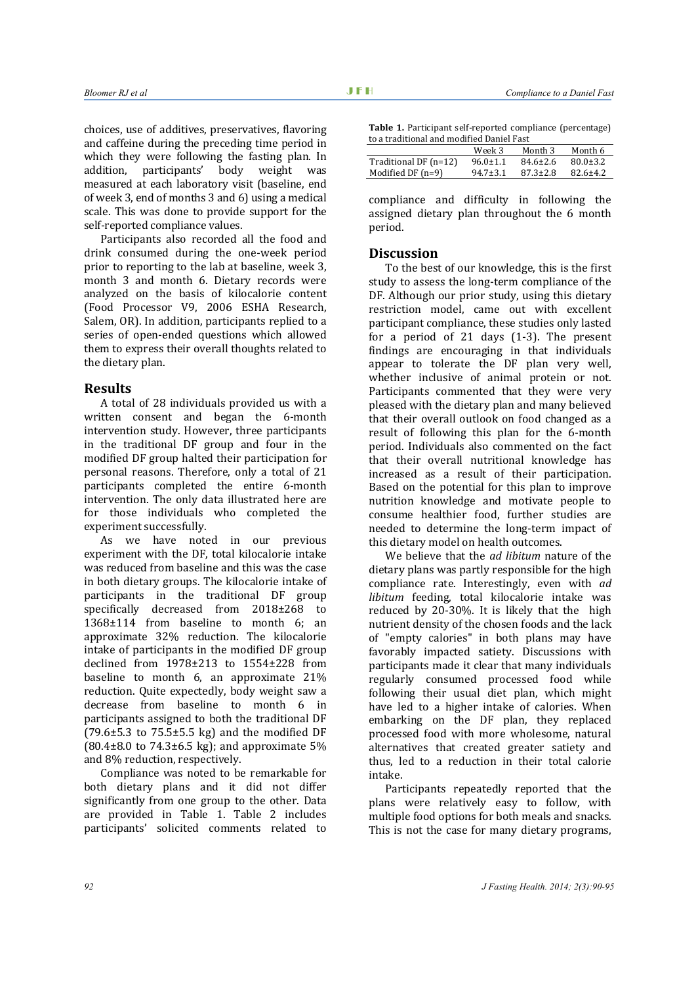choices, use of additives, preservatives, flavoring and caffeine during the preceding time period in which they were following the fasting plan. In addition, participants' body weight was measured at each laboratory visit (baseline, end of week 3, end of months 3 and 6) using a medical scale. This was done to provide support for the self-reported compliance values.

Participants also recorded all the food and drink consumed during the one-week period prior to reporting to the lab at baseline, week 3, month 3 and month 6. Dietary records were analyzed on the basis of kilocalorie content (Food Processor V9, 2006 ESHA Research, Salem, OR). In addition, participants replied to a series of open-ended questions which allowed them to express their overall thoughts related to the dietary plan.

## **Results**

A total of 28 individuals provided us with a written consent and began the 6-month intervention study. However, three participants in the traditional DF group and four in the modified DF group halted their participation for personal reasons. Therefore, only a total of 21 participants completed the entire 6-month intervention. The only data illustrated here are for those individuals who completed the experiment successfully.

As we have noted in our previous experiment with the DF, total kilocalorie intake was reduced from baseline and this was the case in both dietary groups. The kilocalorie intake of participants in the traditional DF group specifically decreased from 2018±268 to 1368±114 from baseline to month 6; an approximate 32% reduction. The kilocalorie intake of participants in the modified DF group declined from 1978±213 to 1554±228 from baseline to month 6, an approximate 21% reduction. Quite expectedly, body weight saw a decrease from baseline to month 6 in participants assigned to both the traditional DF  $(79.6\pm5.3 \text{ to } 75.5\pm5.5 \text{ kg})$  and the modified DF  $(80.4\pm8.0 \text{ to } 74.3\pm6.5 \text{ kg})$ ; and approximate 5% and 8% reduction, respectively.

Compliance was noted to be remarkable for both dietary plans and it did not differ significantly from one group to the other. Data are provided in Table 1. Table 2 includes participants' solicited comments related to

| <b>Table 1.</b> Participant self-reported compliance (percentage) |
|-------------------------------------------------------------------|
| to a traditional and modified Daniel Fast                         |

|                       | Week 3         | Month 3        | Month 6        |
|-----------------------|----------------|----------------|----------------|
| Traditional DF (n=12) | $96.0 \pm 1.1$ | $84.6 \pm 2.6$ | $80.0 \pm 3.2$ |
| Modified DF $(n=9)$   | $94.7 \pm 3.1$ | $87.3 \pm 2.8$ | $82.6 \pm 4.2$ |

compliance and difficulty in following the assigned dietary plan throughout the 6 month period.

## **Discussion**

To the best of our knowledge, this is the first study to assess the long-term compliance of the DF. Although our prior study, using this dietary restriction model, came out with excellent participant compliance, these studies only lasted for a period of 21 days (1-3). The present findings are encouraging in that individuals appear to tolerate the DF plan very well, whether inclusive of animal protein or not. Participants commented that they were very pleased with the dietary plan and many believed that their overall outlook on food changed as a result of following this plan for the 6-month period. Individuals also commented on the fact that their overall nutritional knowledge has increased as a result of their participation. Based on the potential for this plan to improve nutrition knowledge and motivate people to consume healthier food, further studies are needed to determine the long-term impact of this dietary model on health outcomes.

We believe that the *ad libitum* nature of the dietary plans was partly responsible for the high compliance rate. Interestingly, even with *ad libitum* feeding, total kilocalorie intake was reduced by 20-30%. It is likely that the high nutrient density of the chosen foods and the lack of "empty calories" in both plans may have favorably impacted satiety. Discussions with participants made it clear that many individuals regularly consumed processed food while following their usual diet plan, which might have led to a higher intake of calories. When embarking on the DF plan, they replaced processed food with more wholesome, natural alternatives that created greater satiety and thus, led to a reduction in their total calorie intake.

Participants repeatedly reported that the plans were relatively easy to follow, with multiple food options for both meals and snacks. This is not the case for many dietary programs,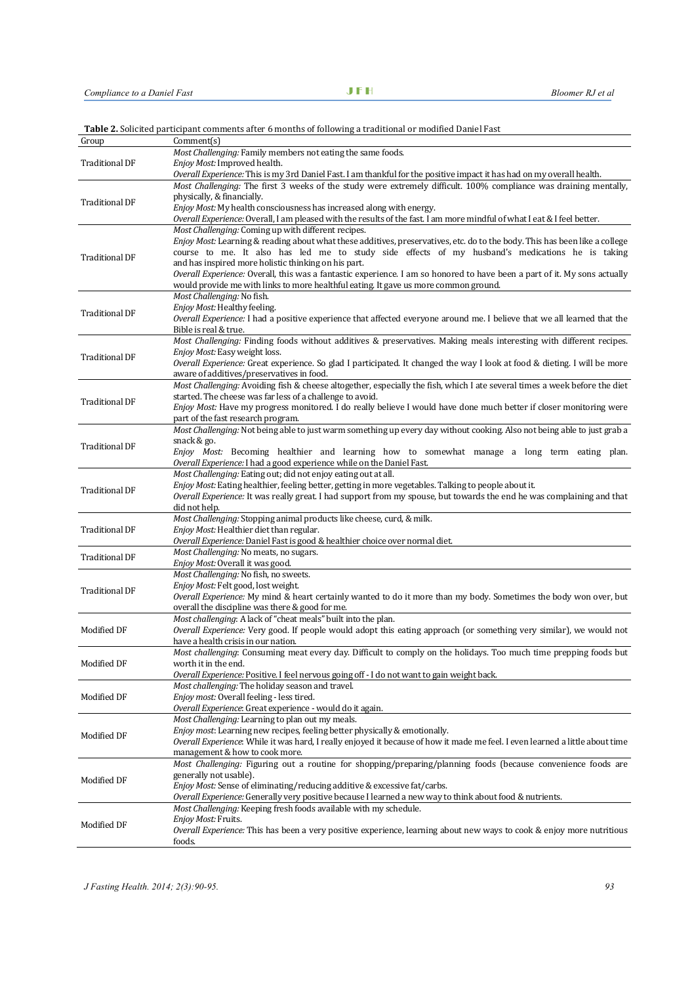|  | Table 2. Solicited participant comments after 6 months of following a traditional or modified Daniel Fast |  |
|--|-----------------------------------------------------------------------------------------------------------|--|
|  |                                                                                                           |  |

| Group                 | Comment(s)                                                                                                                    |
|-----------------------|-------------------------------------------------------------------------------------------------------------------------------|
| <b>Traditional DF</b> | Most Challenging: Family members not eating the same foods.                                                                   |
|                       | Enjoy Most: Improved health.                                                                                                  |
|                       | Overall Experience: This is my 3rd Daniel Fast. I am thankful for the positive impact it has had on my overall health.        |
|                       | Most Challenging: The first 3 weeks of the study were extremely difficult. 100% compliance was draining mentally,             |
| <b>Traditional DF</b> | physically, & financially.                                                                                                    |
|                       | Enjoy Most: My health consciousness has increased along with energy.                                                          |
|                       | Overall Experience: Overall, I am pleased with the results of the fast. I am more mindful of what I eat & I feel better.      |
|                       | Most Challenging: Coming up with different recipes.                                                                           |
|                       | Enjoy Most: Learning & reading about what these additives, preservatives, etc. do to the body. This has been like a college   |
| <b>Traditional DF</b> | course to me. It also has led me to study side effects of my husband's medications he is taking                               |
|                       | and has inspired more holistic thinking on his part.                                                                          |
|                       | Overall Experience: Overall, this was a fantastic experience. I am so honored to have been a part of it. My sons actually     |
|                       | would provide me with links to more healthful eating. It gave us more common ground.                                          |
|                       | Most Challenging: No fish.                                                                                                    |
| <b>Traditional DF</b> | Enjoy Most: Healthy feeling.                                                                                                  |
|                       | Overall Experience: I had a positive experience that affected everyone around me. I believe that we all learned that the      |
|                       | Bible is real & true.                                                                                                         |
|                       | Most Challenging: Finding foods without additives & preservatives. Making meals interesting with different recipes.           |
| <b>Traditional DF</b> | <i>Enjoy Most:</i> Easy weight loss.                                                                                          |
|                       | Overall Experience: Great experience. So glad I participated. It changed the way I look at food & dieting. I will be more     |
|                       | aware of additives/preservatives in food.                                                                                     |
|                       | Most Challenging: Avoiding fish & cheese altogether, especially the fish, which I ate several times a week before the diet    |
| <b>Traditional DF</b> | started. The cheese was far less of a challenge to avoid.                                                                     |
|                       | Enjoy Most: Have my progress monitored. I do really believe I would have done much better if closer monitoring were           |
|                       | part of the fast research program.                                                                                            |
|                       | Most Challenging: Not being able to just warm something up every day without cooking. Also not being able to just grab a      |
| <b>Traditional DF</b> | snack & go.                                                                                                                   |
|                       | Enjoy Most: Becoming healthier and learning how to somewhat manage a long term eating plan.                                   |
|                       | Overall Experience: I had a good experience while on the Daniel Fast.                                                         |
|                       | Most Challenging: Eating out; did not enjoy eating out at all.                                                                |
| <b>Traditional DF</b> | Enjoy Most: Eating healthier, feeling better, getting in more vegetables. Talking to people about it.                         |
|                       | Overall Experience: It was really great. I had support from my spouse, but towards the end he was complaining and that        |
|                       | did not help.                                                                                                                 |
| <b>Traditional DF</b> | Most Challenging: Stopping animal products like cheese, curd, & milk.<br>Enjoy Most: Healthier diet than regular.             |
|                       | Overall Experience: Daniel Fast is good & healthier choice over normal diet.                                                  |
|                       | Most Challenging: No meats, no sugars.                                                                                        |
| <b>Traditional DF</b> | Enjoy Most: Overall it was good.                                                                                              |
|                       | Most Challenging: No fish, no sweets.                                                                                         |
|                       | Enjoy Most: Felt good, lost weight.                                                                                           |
| <b>Traditional DF</b> | Overall Experience: My mind & heart certainly wanted to do it more than my body. Sometimes the body won over, but             |
|                       | overall the discipline was there & good for me.                                                                               |
|                       | Most challenging: A lack of "cheat meals" built into the plan.                                                                |
| Modified DF           | Overall Experience: Very good. If people would adopt this eating approach (or something very similar), we would not           |
|                       | have a health crisis in our nation.                                                                                           |
| Modified DF           | Most challenging: Consuming meat every day. Difficult to comply on the holidays. Too much time prepping foods but             |
|                       | worth it in the end.                                                                                                          |
|                       | Overall Experience: Positive. I feel nervous going off - I do not want to gain weight back.                                   |
|                       | Most challenging: The holiday season and travel.                                                                              |
| Modified DF           | Enjoy most: Overall feeling - less tired.                                                                                     |
|                       | Overall Experience: Great experience - would do it again.                                                                     |
| Modified DF           | Most Challenging: Learning to plan out my meals.                                                                              |
|                       | Enjoy most: Learning new recipes, feeling better physically & emotionally.                                                    |
|                       | Overall Experience: While it was hard, I really enjoyed it because of how it made me feel. I even learned a little about time |
|                       | management & how to cook more.                                                                                                |
| Modified DF           | Most Challenging: Figuring out a routine for shopping/preparing/planning foods (because convenience foods are                 |
|                       | generally not usable).                                                                                                        |
|                       | Enjoy Most: Sense of eliminating/reducing additive & excessive fat/carbs.                                                     |
|                       | Overall Experience: Generally very positive because I learned a new way to think about food & nutrients.                      |
|                       | Most Challenging: Keeping fresh foods available with my schedule.                                                             |
| Modified DF           | Enjoy Most: Fruits.                                                                                                           |
|                       | <i>Overall Experience:</i> This has been a very positive experience, learning about new ways to cook & enjoy more nutritious  |
|                       | foods.                                                                                                                        |
|                       |                                                                                                                               |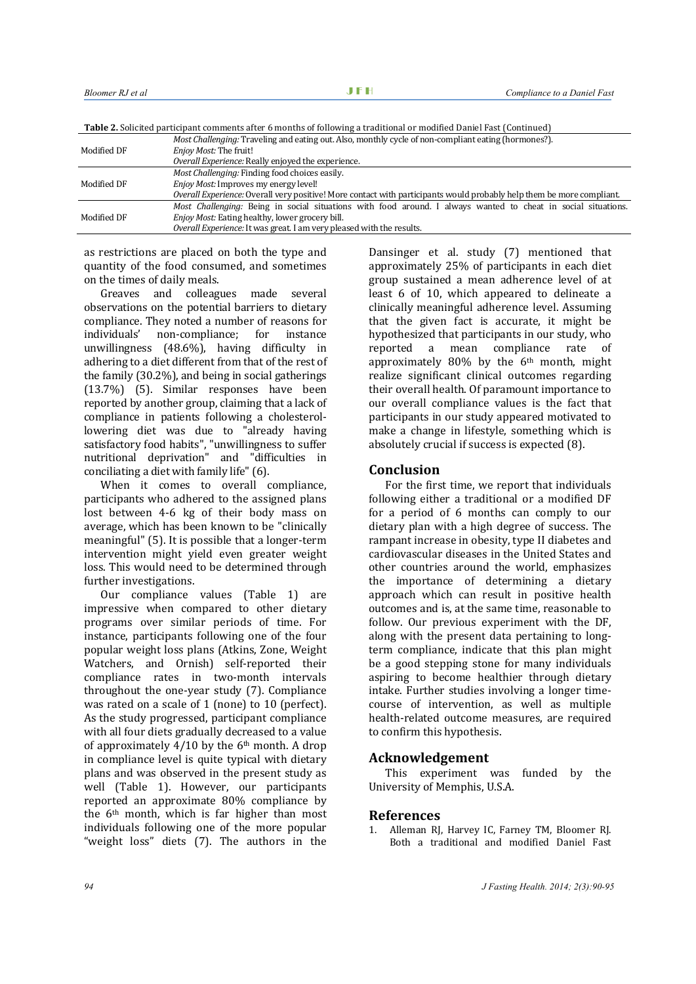|--|

|             | <i>Most Challenging:</i> Traveling and eating out. Also, monthly cycle of non-compliant eating (hormones?).           |
|-------------|-----------------------------------------------------------------------------------------------------------------------|
| Modified DF | <i>Enjoy Most:</i> The fruit!                                                                                         |
|             | Overall Experience: Really enjoyed the experience.                                                                    |
| Modified DF | Most Challenging: Finding food choices easily.                                                                        |
|             | <i>Enjoy Most:</i> Improves my energy level!                                                                          |
|             | Overall Experience: Overall very positive! More contact with participants would probably help them be more compliant. |
| Modified DF | <i>Most Challenging:</i> Being in social situations with food around. I always wanted to cheat in social situations.  |
|             | Enjoy Most: Eating healthy, lower grocery bill.                                                                       |
|             | Overall Experience: It was great. I am very pleased with the results.                                                 |

as restrictions are placed on both the type and quantity of the food consumed, and sometimes on the times of daily meals.

Greaves and colleagues made several observations on the potential barriers to dietary compliance. They noted a number of reasons for individuals' non-compliance; for instance unwillingness (48.6%), having difficulty in adhering to a diet different from that of the rest of the family (30.2%), and being in social gatherings (13.7%) (5). Similar responses have been reported by another group, claiming that a lack of compliance in patients following a cholesterollowering diet was due to "already having satisfactory food habits", "unwillingness to suffer nutritional deprivation" and "difficulties in conciliating a diet with family life" (6).

When it comes to overall compliance, participants who adhered to the assigned plans lost between 4-6 kg of their body mass on average, which has been known to be "clinically meaningful" (5). It is possible that a longer-term intervention might yield even greater weight loss. This would need to be determined through further investigations.

Our compliance values (Table 1) are impressive when compared to other dietary programs over similar periods of time. For instance, participants following one of the four popular weight loss plans (Atkins, Zone, Weight Watchers, and Ornish) self-reported their compliance rates in two-month intervals throughout the one-year study (7). Compliance was rated on a scale of 1 (none) to 10 (perfect). As the study progressed, participant compliance with all four diets gradually decreased to a value of approximately  $4/10$  by the 6<sup>th</sup> month. A drop in compliance level is quite typical with dietary plans and was observed in the present study as well (Table 1). However, our participants reported an approximate 80% compliance by the 6th month, which is far higher than most individuals following one of the more popular "weight loss" diets (7). The authors in the

Dansinger et al. study (7) mentioned that approximately 25% of participants in each diet group sustained a mean adherence level of at least 6 of 10, which appeared to delineate a clinically meaningful adherence level. Assuming that the given fact is accurate, it might be hypothesized that participants in our study, who reported a mean compliance rate of approximately  $80\%$  by the  $6<sup>th</sup>$  month, might realize significant clinical outcomes regarding their overall health. Of paramount importance to our overall compliance values is the fact that participants in our study appeared motivated to make a change in lifestyle, something which is absolutely crucial if success is expected (8).

### **Conclusion**

For the first time, we report that individuals following either a traditional or a modified DF for a period of 6 months can comply to our dietary plan with a high degree of success. The rampant increase in obesity, type II diabetes and cardiovascular diseases in the United States and other countries around the world, emphasizes the importance of determining a dietary approach which can result in positive health outcomes and is, at the same time, reasonable to follow. Our previous experiment with the DF, along with the present data pertaining to longterm compliance, indicate that this plan might be a good stepping stone for many individuals aspiring to become healthier through dietary intake. Further studies involving a longer timecourse of intervention, as well as multiple health-related outcome measures, are required to confirm this hypothesis.

## **Acknowledgement**

This experiment was funded by the University of Memphis, U.S.A.

### **References**

1. Alleman RJ, Harvey IC, Farney TM, Bloomer RJ. Both a traditional and modified Daniel Fast